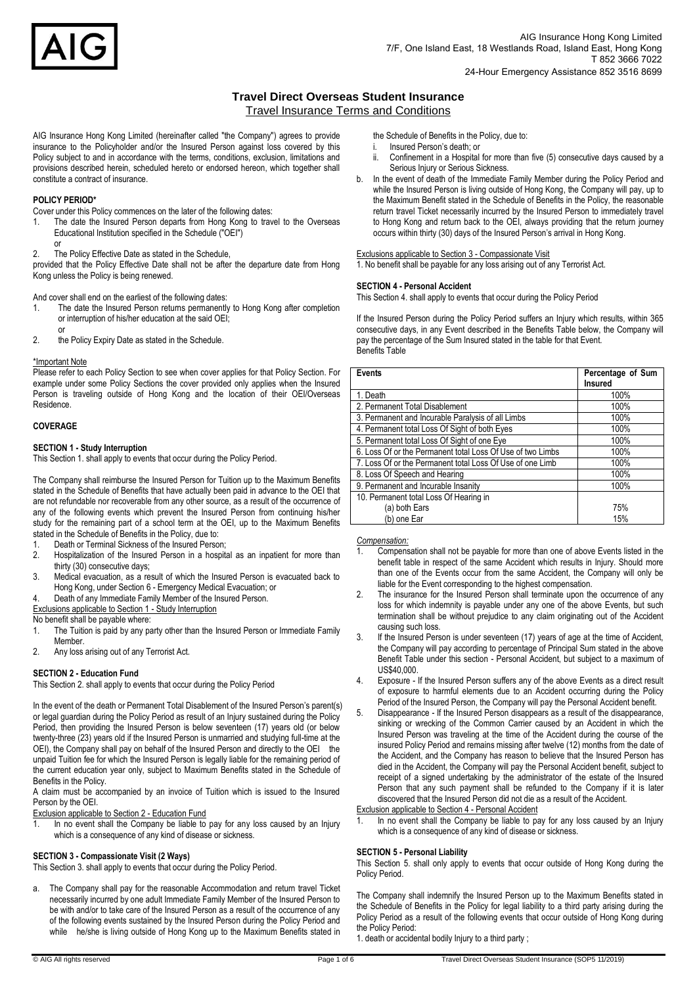

## **Travel Direct Overseas Student Insurance**  Travel Insurance Terms and Conditions

AIG Insurance Hong Kong Limited (hereinafter called "the Company") agrees to provide insurance to the Policyholder and/or the Insured Person against loss covered by this Policy subject to and in accordance with the terms, conditions, exclusion, limitations and provisions described herein, scheduled hereto or endorsed hereon, which together shall constitute a contract of insurance.

## **POLICY PERIOD\***

or

Cover under this Policy commences on the later of the following dates:

- 1. The date the Insured Person departs from Hong Kong to travel to the Overseas Educational Institution specified in the Schedule ("OEI")
- 2. The Policy Effective Date as stated in the Schedule,

provided that the Policy Effective Date shall not be after the departure date from Hong Kong unless the Policy is being renewed.

And cover shall end on the earliest of the following dates:

- 1. The date the Insured Person returns permanently to Hong Kong after completion or interruption of his/her education at the said OEI;
- or 2. the Policy Expiry Date as stated in the Schedule.

## \*Important Note

Please refer to each Policy Section to see when cover applies for that Policy Section. For example under some Policy Sections the cover provided only applies when the Insured Person is traveling outside of Hong Kong and the location of their OEI/Overseas Residence.

## **COVERAGE**

## **SECTION 1 - Study Interruption**

This Section 1. shall apply to events that occur during the Policy Period.

The Company shall reimburse the Insured Person for Tuition up to the Maximum Benefits stated in the Schedule of Benefits that have actually been paid in advance to the OEI that are not refundable nor recoverable from any other source, as a result of the occurrence of any of the following events which prevent the Insured Person from continuing his/her study for the remaining part of a school term at the OEI, up to the Maximum Benefits stated in the Schedule of Benefits in the Policy, due to:

- Death or Terminal Sickness of the Insured Person;
- 2. Hospitalization of the Insured Person in a hospital as an inpatient for more than thirty (30) consecutive days;
- 3. Medical evacuation, as a result of which the Insured Person is evacuated back to Hong Kong, under Section 6 - Emergency Medical Evacuation; or
- Death of any Immediate Family Member of the Insured Person.
- Exclusions applicable to Section 1 Study Interruption

No benefit shall be payable where:

- 1. The Tuition is paid by any party other than the Insured Person or Immediate Family Member.
- 2. Any loss arising out of any Terrorist Act.

## **SECTION 2 - Education Fund**

This Section 2. shall apply to events that occur during the Policy Period

In the event of the death or Permanent Total Disablement of the Insured Person's parent(s) or legal guardian during the Policy Period as result of an Injury sustained during the Policy Period, then providing the Insured Person is below seventeen (17) years old (or below twenty-three (23) years old if the Insured Person is unmarried and studying full-time at the OEI), the Company shall pay on behalf of the Insured Person and directly to the OEI the unpaid Tuition fee for which the Insured Person is legally liable for the remaining period of the current education year only, subject to Maximum Benefits stated in the Schedule of Benefits in the Policy.

A claim must be accompanied by an invoice of Tuition which is issued to the Insured Person by the OEI.

Exclusion applicable to Section 2 - Education Fund

1. In no event shall the Company be liable to pay for any loss caused by an Injury which is a consequence of any kind of disease or sickness.

## **SECTION 3 - Compassionate Visit (2 Ways)**

This Section 3. shall apply to events that occur during the Policy Period.

a. The Company shall pay for the reasonable Accommodation and return travel Ticket necessarily incurred by one adult Immediate Family Member of the Insured Person to be with and/or to take care of the Insured Person as a result of the occurrence of any of the following events sustained by the Insured Person during the Policy Period and while he/she is living outside of Hong Kong up to the Maximum Benefits stated in the Schedule of Benefits in the Policy, due to:

- i. Insured Person's death; or
- ii. Confinement in a Hospital for more than five (5) consecutive days caused by a Serious Injury or Serious Sickness.
- b. In the event of death of the Immediate Family Member during the Policy Period and while the Insured Person is living outside of Hong Kong, the Company will pay, up to the Maximum Benefit stated in the Schedule of Benefits in the Policy, the reasonable return travel Ticket necessarily incurred by the Insured Person to immediately travel to Hong Kong and return back to the OEI, always providing that the return journey occurs within thirty (30) days of the Insured Person's arrival in Hong Kong.

## Exclusions applicable to Section 3 - Compassionate Visit

1. No benefit shall be payable for any loss arising out of any Terrorist Act.

## **SECTION 4 - Personal Accident**

This Section 4. shall apply to events that occur during the Policy Period

If the Insured Person during the Policy Period suffers an Injury which results, within 365 consecutive days, in any Event described in the Benefits Table below, the Company will pay the percentage of the Sum Insured stated in the table for that Event. Benefits Table

| <b>Events</b>                                              | Percentage of Sum<br><b>Insured</b> |
|------------------------------------------------------------|-------------------------------------|
| 1. Death                                                   | 100%                                |
| 2. Permanent Total Disablement                             | 100%                                |
| 3. Permanent and Incurable Paralysis of all Limbs          | 100%                                |
| 4. Permanent total Loss Of Sight of both Eyes              | 100%                                |
| 5. Permanent total Loss Of Sight of one Eye                | 100%                                |
| 6. Loss Of or the Permanent total Loss Of Use of two Limbs | 100%                                |
| 7. Loss Of or the Permanent total Loss Of Use of one Limb  | 100%                                |
| 8. Loss Of Speech and Hearing                              | 100%                                |
| 9. Permanent and Incurable Insanity                        | 100%                                |
| 10. Permanent total Loss Of Hearing in                     |                                     |
| (a) both Ears                                              | 75%                                 |
| (b) one Ear                                                | 15%                                 |

## *Compensation:*

- 1. Compensation shall not be payable for more than one of above Events listed in the benefit table in respect of the same Accident which results in Injury. Should more than one of the Events occur from the same Accident, the Company will only be liable for the Event corresponding to the highest compensation.
- 2. The insurance for the Insured Person shall terminate upon the occurrence of any loss for which indemnity is payable under any one of the above Events, but such termination shall be without prejudice to any claim originating out of the Accident causing such loss.
- 3. If the Insured Person is under seventeen (17) years of age at the time of Accident, the Company will pay according to percentage of Principal Sum stated in the above Benefit Table under this section - Personal Accident, but subject to a maximum of US\$40,000.
- 4. Exposure If the Insured Person suffers any of the above Events as a direct result of exposure to harmful elements due to an Accident occurring during the Policy Period of the Insured Person, the Company will pay the Personal Accident benefit.
- 5. Disappearance If the Insured Person disappears as a result of the disappearance, sinking or wrecking of the Common Carrier caused by an Accident in which the Insured Person was traveling at the time of the Accident during the course of the insured Policy Period and remains missing after twelve (12) months from the date of the Accident, and the Company has reason to believe that the Insured Person has died in the Accident, the Company will pay the Personal Accident benefit, subject to receipt of a signed undertaking by the administrator of the estate of the Insured Person that any such payment shall be refunded to the Company if it is later discovered that the Insured Person did not die as a result of the Accident.

Exclusion applicable to Section 4 - Personal Accident

1. In no event shall the Company be liable to pay for any loss caused by an Injury which is a consequence of any kind of disease or sickness.

## **SECTION 5 - Personal Liability**

This Section 5. shall only apply to events that occur outside of Hong Kong during the Policy Period.

The Company shall indemnify the Insured Person up to the Maximum Benefits stated in the Schedule of Benefits in the Policy for legal liability to a third party arising during the Policy Period as a result of the following events that occur outside of Hong Kong during the Policy Period:

1. death or accidental bodily Injury to a third party ;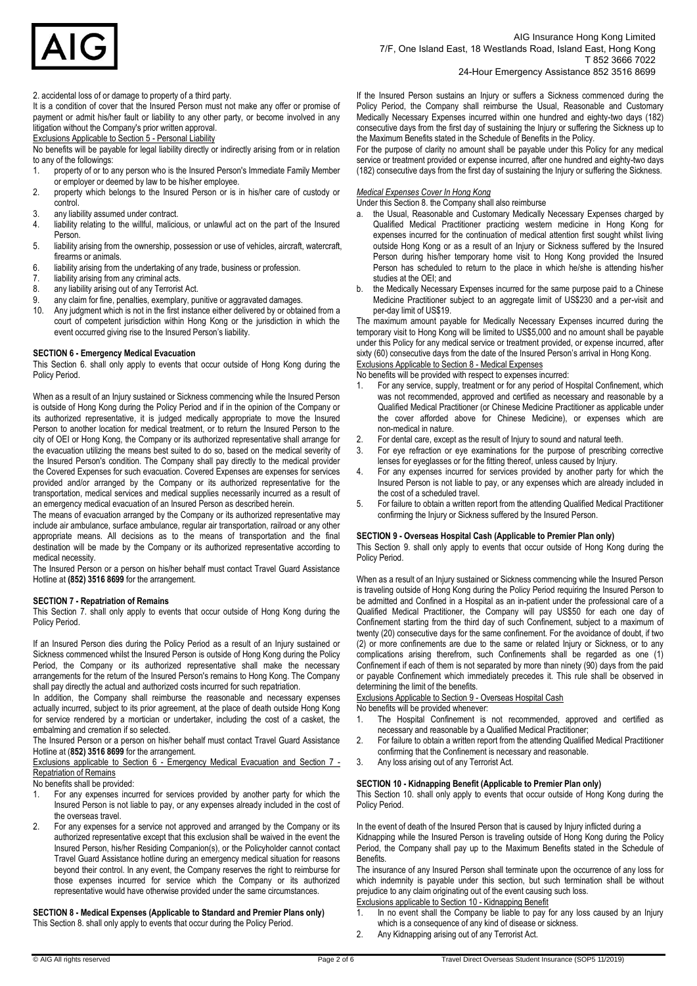

2. accidental loss of or damage to property of a third party.

It is a condition of cover that the Insured Person must not make any offer or promise of payment or admit his/her fault or liability to any other party, or become involved in any litigation without the Company's prior written approval.

Exclusions Applicable to Section 5 - Personal Liability

No benefits will be payable for legal liability directly or indirectly arising from or in relation to any of the followings:<br>1. property of or to a

- property of or to any person who is the Insured Person's Immediate Family Member or employer or deemed by law to be his/her employee.
- 2. property which belongs to the Insured Person or is in his/her care of custody or control.
- 3. any liability assumed under contract.<br>4. liability relating to the willful, malicid
- liability relating to the willful, malicious, or unlawful act on the part of the Insured Person.
- 5. liability arising from the ownership, possession or use of vehicles, aircraft, watercraft, firearms or animals.
- 6. liability arising from the undertaking of any trade, business or profession.
- 
- 7. liability arising from any criminal acts.<br>8. any liability arising out of any Terroris 8. any liability arising out of any Terrorist Act.<br>9 any claim for fine penalties exemplary pu
- 9. any claim for fine, penalties, exemplary, punitive or aggravated damages.<br>10 Any judgment which is not in the first instance either delivered by or obtain
- Any judgment which is not in the first instance either delivered by or obtained from a court of competent jurisdiction within Hong Kong or the jurisdiction in which the event occurred giving rise to the Insured Person's liability.

#### **SECTION 6 - Emergency Medical Evacuation**

This Section 6. shall only apply to events that occur outside of Hong Kong during the Policy Period.

When as a result of an Injury sustained or Sickness commencing while the Insured Person is outside of Hong Kong during the Policy Period and if in the opinion of the Company or its authorized representative, it is judged medically appropriate to move the Insured Person to another location for medical treatment, or to return the Insured Person to the city of OEI or Hong Kong, the Company or its authorized representative shall arrange for the evacuation utilizing the means best suited to do so, based on the medical severity of the Insured Person's condition. The Company shall pay directly to the medical provider the Covered Expenses for such evacuation. Covered Expenses are expenses for services provided and/or arranged by the Company or its authorized representative for the transportation, medical services and medical supplies necessarily incurred as a result of an emergency medical evacuation of an Insured Person as described herein.

The means of evacuation arranged by the Company or its authorized representative may include air ambulance, surface ambulance, regular air transportation, railroad or any other appropriate means. All decisions as to the means of transportation and the final destination will be made by the Company or its authorized representative according to medical necessity.

The Insured Person or a person on his/her behalf must contact Travel Guard Assistance Hotline at **(852) 3516 8699** for the arrangement.

#### **SECTION 7 - Repatriation of Remains**

This Section 7. shall only apply to events that occur outside of Hong Kong during the Policy Period.

If an Insured Person dies during the Policy Period as a result of an Injury sustained or Sickness commenced whilst the Insured Person is outside of Hong Kong during the Policy Period, the Company or its authorized representative shall make the necessary arrangements for the return of the Insured Person's remains to Hong Kong. The Company shall pay directly the actual and authorized costs incurred for such repatriation.

In addition, the Company shall reimburse the reasonable and necessary expenses actually incurred, subject to its prior agreement, at the place of death outside Hong Kong for service rendered by a mortician or undertaker, including the cost of a casket, the embalming and cremation if so selected.

The Insured Person or a person on his/her behalf must contact Travel Guard Assistance Hotline at (**852) 3516 8699** for the arrangement.

Exclusions applicable to Section 6 - Emergency Medical Evacuation and Section 7 - Repatriation of Remains

No benefits shall be provided:

- 1. For any expenses incurred for services provided by another party for which the Insured Person is not liable to pay, or any expenses already included in the cost of the overseas travel.
- 2. For any expenses for a service not approved and arranged by the Company or its authorized representative except that this exclusion shall be waived in the event the Insured Person, his/her Residing Companion(s), or the Policyholder cannot contact Travel Guard Assistance hotline during an emergency medical situation for reasons beyond their control. In any event, the Company reserves the right to reimburse for those expenses incurred for service which the Company or its authorized representative would have otherwise provided under the same circumstances.

**SECTION 8 - Medical Expenses (Applicable to Standard and Premier Plans only)**  This Section 8. shall only apply to events that occur during the Policy Period.

If the Insured Person sustains an Injury or suffers a Sickness commenced during the Policy Period, the Company shall reimburse the Usual, Reasonable and Customary Medically Necessary Expenses incurred within one hundred and eighty-two days (182) consecutive days from the first day of sustaining the Injury or suffering the Sickness up to the Maximum Benefits stated in the Schedule of Benefits in the Policy.

For the purpose of clarity no amount shall be payable under this Policy for any medical service or treatment provided or expense incurred, after one hundred and eighty-two days (182) consecutive days from the first day of sustaining the Injury or suffering the Sickness.

## *Medical Expenses Cover In Hong Kong*

Under this Section 8. the Company shall also reimburse

- a. the Usual, Reasonable and Customary Medically Necessary Expenses charged by Qualified Medical Practitioner practicing western medicine in Hong Kong for expenses incurred for the continuation of medical attention first sought whilst living outside Hong Kong or as a result of an Injury or Sickness suffered by the Insured Person during his/her temporary home visit to Hong Kong provided the Insured Person has scheduled to return to the place in which he/she is attending his/her studies at the OEI; and
- b. the Medically Necessary Expenses incurred for the same purpose paid to a Chinese Medicine Practitioner subject to an aggregate limit of US\$230 and a per-visit and per-day limit of US\$19.

The maximum amount payable for Medically Necessary Expenses incurred during the temporary visit to Hong Kong will be limited to US\$5,000 and no amount shall be payable under this Policy for any medical service or treatment provided, or expense incurred, after sixty (60) consecutive days from the date of the Insured Person's arrival in Hong Kong. Exclusions Applicable to Section 8 - Medical Expenses

No benefits will be provided with respect to expenses incurred:

- 1. For any service, supply, treatment or for any period of Hospital Confinement, which was not recommended, approved and certified as necessary and reasonable by a Qualified Medical Practitioner (or Chinese Medicine Practitioner as applicable under the cover afforded above for Chinese Medicine), or expenses which are non-medical in nature.
- For dental care, except as the result of Injury to sound and natural teeth.
- 3. For eye refraction or eye examinations for the purpose of prescribing corrective lenses for eyeglasses or for the fitting thereof, unless caused by Injury.
- For any expenses incurred for services provided by another party for which the Insured Person is not liable to pay, or any expenses which are already included in the cost of a scheduled travel.
- 5. For failure to obtain a written report from the attending Qualified Medical Practitioner confirming the Injury or Sickness suffered by the Insured Person.

## **SECTION 9 - Overseas Hospital Cash (Applicable to Premier Plan only)**

This Section 9. shall only apply to events that occur outside of Hong Kong during the Policy Period.

When as a result of an Injury sustained or Sickness commencing while the Insured Person is traveling outside of Hong Kong during the Policy Period requiring the Insured Person to be admitted and Confined in a Hospital as an in-patient under the professional care of a Qualified Medical Practitioner, the Company will pay US\$50 for each one day of Confinement starting from the third day of such Confinement, subject to a maximum of twenty (20) consecutive days for the same confinement. For the avoidance of doubt, if two (2) or more confinements are due to the same or related Injury or Sickness, or to any complications arising therefrom, such Confinements shall be regarded as one (1) Confinement if each of them is not separated by more than ninety (90) days from the paid or payable Confinement which immediately precedes it. This rule shall be observed in determining the limit of the benefits.

Exclusions Applicable to Section 9 - Overseas Hospital Cash

No benefits will be provided whenever:

- 1. The Hospital Confinement is not recommended, approved and certified as necessary and reasonable by a Qualified Medical Practitioner;
- 2. For failure to obtain a written report from the attending Qualified Medical Practitioner confirming that the Confinement is necessary and reasonable.
- 3. Any loss arising out of any Terrorist Act.

## **SECTION 10 - Kidnapping Benefit (Applicable to Premier Plan only)**

This Section 10. shall only apply to events that occur outside of Hong Kong during the Policy Period.

In the event of death of the Insured Person that is caused by Injury inflicted during a Kidnapping while the Insured Person is traveling outside of Hong Kong during the Policy Period, the Company shall pay up to the Maximum Benefits stated in the Schedule of **Benefits** 

The insurance of any Insured Person shall terminate upon the occurrence of any loss for which indemnity is payable under this section, but such termination shall be without prejudice to any claim originating out of the event causing such loss. Exclusions applicable to Section 10 - Kidnapping Benefit

- 1. In no event shall the Company be liable to pay for any loss caused by an Injury which is a consequence of any kind of disease or sickness.
- 2. Any Kidnapping arising out of any Terrorist Act.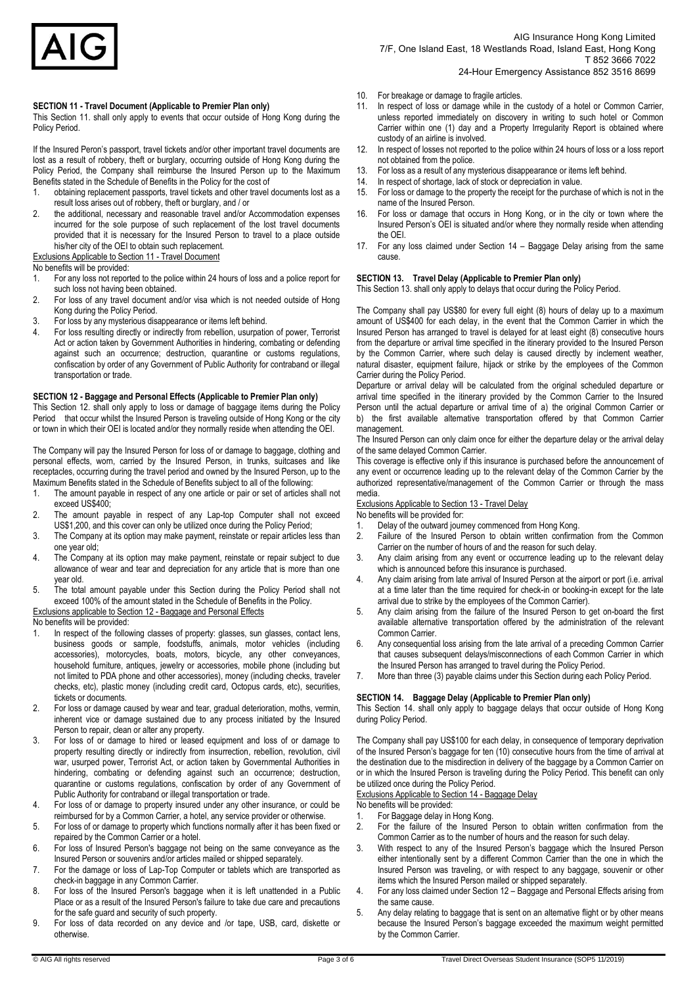

AIG Insurance Hong Kong Limited 7/F, One Island East, 18 Westlands Road, Island East, Hong Kong T 852 3666 7022 24-Hour Emergency Assistance 852 3516 8699

#### **SECTION 11 - Travel Document (Applicable to Premier Plan only)**

This Section 11. shall only apply to events that occur outside of Hong Kong during the Policy Period.

If the Insured Peron's passport, travel tickets and/or other important travel documents are lost as a result of robbery, theft or burglary, occurring outside of Hong Kong during the Policy Period, the Company shall reimburse the Insured Person up to the Maximum Benefits stated in the Schedule of Benefits in the Policy for the cost of

- 1. obtaining replacement passports, travel tickets and other travel documents lost as a result loss arises out of robbery, theft or burglary, and / or
- 2. the additional, necessary and reasonable travel and/or Accommodation expenses incurred for the sole purpose of such replacement of the lost travel documents provided that it is necessary for the Insured Person to travel to a place outside his/her city of the OEI to obtain such replacement. Exclusions Applicable to Section 11 - Travel Document

No benefits will be provided:

- 1. For any loss not reported to the police within 24 hours of loss and a police report for such loss not having been obtained.
- 2. For loss of any travel document and/or visa which is not needed outside of Hong Kong during the Policy Period.
- 3. For loss by any mysterious disappearance or items left behind.
- 4. For loss resulting directly or indirectly from rebellion, usurpation of power, Terrorist Act or action taken by Government Authorities in hindering, combating or defending against such an occurrence; destruction, quarantine or customs regulations, confiscation by order of any Government of Public Authority for contraband or illegal transportation or trade.

#### **SECTION 12 - Baggage and Personal Effects (Applicable to Premier Plan only)**

This Section 12. shall only apply to loss or damage of baggage items during the Policy Period that occur whilst the Insured Person is traveling outside of Hong Kong or the city or town in which their OEI is located and/or they normally reside when attending the OEI.

The Company will pay the Insured Person for loss of or damage to baggage, clothing and personal effects, worn, carried by the Insured Person, in trunks, suitcases and like receptacles, occurring during the travel period and owned by the Insured Person, up to the Maximum Benefits stated in the Schedule of Benefits subject to all of the following:

- 1. The amount payable in respect of any one article or pair or set of articles shall not exceed US\$400;
- 2. The amount payable in respect of any Lap-top Computer shall not exceed US\$1,200, and this cover can only be utilized once during the Policy Period;
- 3. The Company at its option may make payment, reinstate or repair articles less than one year old;
- 4. The Company at its option may make payment, reinstate or repair subject to due allowance of wear and tear and depreciation for any article that is more than one year old.
- 5. The total amount payable under this Section during the Policy Period shall not exceed 100% of the amount stated in the Schedule of Benefits in the Policy.
- Exclusions applicable to Section 12 Baggage and Personal Effects

#### No benefits will be provided:

- 1. In respect of the following classes of property: glasses, sun glasses, contact lens, business goods or sample, foodstuffs, animals, motor vehicles (including accessories), motorcycles, boats, motors, bicycle, any other conveyances, household furniture, antiques, jewelry or accessories, mobile phone (including but not limited to PDA phone and other accessories), money (including checks, traveler checks, etc), plastic money (including credit card, Octopus cards, etc), securities, tickets or documents.
- 2. For loss or damage caused by wear and tear, gradual deterioration, moths, vermin, inherent vice or damage sustained due to any process initiated by the Insured Person to repair, clean or alter any property.
- 3. For loss of or damage to hired or leased equipment and loss of or damage to property resulting directly or indirectly from insurrection, rebellion, revolution, civil war, usurped power, Terrorist Act, or action taken by Governmental Authorities in hindering, combating or defending against such an occurrence; destruction, quarantine or customs regulations, confiscation by order of any Government of Public Authority for contraband or illegal transportation or trade.
- 4. For loss of or damage to property insured under any other insurance, or could be reimbursed for by a Common Carrier, a hotel, any service provider or otherwise.
- 5. For loss of or damage to property which functions normally after it has been fixed or repaired by the Common Carrier or a hotel.
- 6. For loss of Insured Person's baggage not being on the same conveyance as the Insured Person or souvenirs and/or articles mailed or shipped separately.
- 7. For the damage or loss of Lap-Top Computer or tablets which are transported as check-in baggage in any Common Carrier.
- 8. For loss of the Insured Person's baggage when it is left unattended in a Public Place or as a result of the Insured Person's failure to take due care and precautions for the safe guard and security of such property.
- 9. For loss of data recorded on any device and /or tape, USB, card, diskette or otherwise.
- 10. For breakage or damage to fragile articles.
- 11. In respect of loss or damage while in the custody of a hotel or Common Carrier, unless reported immediately on discovery in writing to such hotel or Common Carrier within one (1) day and a Property Irregularity Report is obtained where custody of an airline is involved.
- 12. In respect of losses not reported to the police within 24 hours of loss or a loss report not obtained from the police.
- 13. For loss as a result of any mysterious disappearance or items left behind.
- 14. In respect of shortage, lack of stock or depreciation in value.
- 15. For loss or damage to the property the receipt for the purchase of which is not in the name of the Insured Person.
- 16. For loss or damage that occurs in Hong Kong, or in the city or town where the Insured Person's OEI is situated and/or where they normally reside when attending the OEI.
- 17. For any loss claimed under Section 14 Baggage Delay arising from the same cause.

#### **SECTION 13. Travel Delay (Applicable to Premier Plan only)**

This Section 13. shall only apply to delays that occur during the Policy Period.

The Company shall pay US\$80 for every full eight (8) hours of delay up to a maximum amount of US\$400 for each delay, in the event that the Common Carrier in which the Insured Person has arranged to travel is delayed for at least eight (8) consecutive hours from the departure or arrival time specified in the itinerary provided to the Insured Person by the Common Carrier, where such delay is caused directly by inclement weather, natural disaster, equipment failure, hijack or strike by the employees of the Common Carrier during the Policy Period.

Departure or arrival delay will be calculated from the original scheduled departure or arrival time specified in the itinerary provided by the Common Carrier to the Insured Person until the actual departure or arrival time of a) the original Common Carrier or b) the first available alternative transportation offered by that Common Carrier management.

The Insured Person can only claim once for either the departure delay or the arrival delay of the same delayed Common Carrier.

This coverage is effective only if this insurance is purchased before the announcement of any event or occurrence leading up to the relevant delay of the Common Carrier by the authorized representative/management of the Common Carrier or through the mass media.

Exclusions Applicable to Section 13 - Travel Delay

No benefits will be provided for:

- 1. Delay of the outward journey commenced from Hong Kong.
- 2. Failure of the Insured Person to obtain written confirmation from the Common Carrier on the number of hours of and the reason for such delay.
- 3. Any claim arising from any event or occurrence leading up to the relevant delay which is announced before this insurance is purchased.
- 4. Any claim arising from late arrival of Insured Person at the airport or port (i.e. arrival at a time later than the time required for check-in or booking-in except for the late arrival due to strike by the employees of the Common Carrier).
- 5. Any claim arising from the failure of the Insured Person to get on-board the first available alternative transportation offered by the administration of the relevant Common Carrier.
- 6. Any consequential loss arising from the late arrival of a preceding Common Carrier that causes subsequent delays/misconnections of each Common Carrier in which the Insured Person has arranged to travel during the Policy Period.
- More than three (3) payable claims under this Section during each Policy Period.

### **SECTION 14. Baggage Delay (Applicable to Premier Plan only)**

This Section 14. shall only apply to baggage delays that occur outside of Hong Kong during Policy Period.

The Company shall pay US\$100 for each delay, in consequence of temporary deprivation of the Insured Person's baggage for ten (10) consecutive hours from the time of arrival at the destination due to the misdirection in delivery of the baggage by a Common Carrier on or in which the Insured Person is traveling during the Policy Period. This benefit can only be utilized once during the Policy Period.

#### Exclusions Applicable to Section 14 - Baggage Delay

No benefits will be provided:

- 1. For Baggage delay in Hong Kong.
- 2. For the failure of the Insured Person to obtain written confirmation from the Common Carrier as to the number of hours and the reason for such delay.
- 3. With respect to any of the Insured Person's baggage which the Insured Person either intentionally sent by a different Common Carrier than the one in which the Insured Person was traveling, or with respect to any baggage, souvenir or other items which the Insured Person mailed or shipped separately.
- 4. For any loss claimed under Section 12 Baggage and Personal Effects arising from the same cause.
- Any delay relating to baggage that is sent on an alternative flight or by other means because the Insured Person's baggage exceeded the maximum weight permitted by the Common Carrier.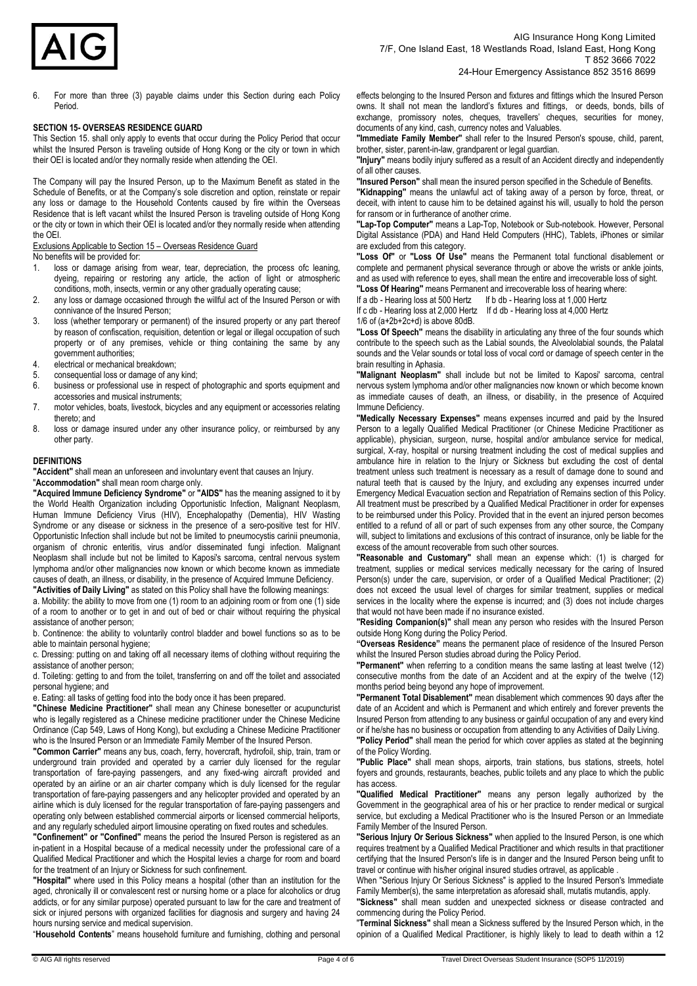

6. For more than three (3) payable claims under this Section during each Policy Period.

#### **SECTION 15- OVERSEAS RESIDENCE GUARD**

This Section 15. shall only apply to events that occur during the Policy Period that occur whilst the Insured Person is traveling outside of Hong Kong or the city or town in which their OEI is located and/or they normally reside when attending the OEI.

The Company will pay the Insured Person, up to the Maximum Benefit as stated in the Schedule of Benefits, or at the Company's sole discretion and option, reinstate or repair any loss or damage to the Household Contents caused by fire within the Overseas Residence that is left vacant whilst the Insured Person is traveling outside of Hong Kong or the city or town in which their OEI is located and/or they normally reside when attending the OEI.

Exclusions Applicable to Section 15 – Overseas Residence Guard

No benefits will be provided for:

- 1. loss or damage arising from wear, tear, depreciation, the process ofc leaning, dyeing, repairing or restoring any article, the action of light or atmospheric conditions, moth, insects, vermin or any other gradually operating cause;
- 2. any loss or damage occasioned through the willful act of the Insured Person or with connivance of the Insured Person;
- 3. loss (whether temporary or permanent) of the insured property or any part thereof by reason of confiscation, requisition, detention or legal or illegal occupation of such property or of any premises, vehicle or thing containing the same by any government authorities;
- 4. electrical or mechanical breakdown;
- 5. consequential loss or damage of any kind;
- 6. business or professional use in respect of photographic and sports equipment and accessories and musical instruments;
- 7. motor vehicles, boats, livestock, bicycles and any equipment or accessories relating thereto; and
- 8. loss or damage insured under any other insurance policy, or reimbursed by any other party.

#### **DEFINITIONS**

**"Accident"** shall mean an unforeseen and involuntary event that causes an Injury. "**Accommodation"** shall mean room charge only.

**"Acquired Immune Deficiency Syndrome"** or **"AIDS"** has the meaning assigned to it by the World Health Organization including Opportunistic Infection, Malignant Neoplasm, Human Immune Deficiency Virus (HIV), Encephalopathy (Dementia), HIV Wasting Syndrome or any disease or sickness in the presence of a sero-positive test for HIV. Opportunistic Infection shall include but not be limited to pneumocystis carinii pneumonia, organism of chronic enteritis, virus and/or disseminated fungi infection. Malignant Neoplasm shall include but not be limited to Kaposi's sarcoma, central nervous system lymphoma and/or other malignancies now known or which become known as immediate causes of death, an illness, or disability, in the presence of Acquired Immune Deficiency.

**"Activities of Daily Living"** as stated on this Policy shall have the following meanings: a. Mobility: the ability to move from one (1) room to an adjoining room or from one (1) side of a room to another or to get in and out of bed or chair without requiring the physical

assistance of another person; b. Continence: the ability to voluntarily control bladder and bowel functions so as to be able to maintain personal hygiene;

c. Dressing: putting on and taking off all necessary items of clothing without requiring the assistance of another person;

d. Toileting: getting to and from the toilet, transferring on and off the toilet and associated personal hygiene; and

e. Eating: all tasks of getting food into the body once it has been prepared.

**"Chinese Medicine Practitioner"** shall mean any Chinese bonesetter or acupuncturist who is legally registered as a Chinese medicine practitioner under the Chinese Medicine Ordinance (Cap 549, Laws of Hong Kong), but excluding a Chinese Medicine Practitioner who is the Insured Person or an Immediate Family Member of the Insured Person.

**"Common Carrier"** means any bus, coach, ferry, hovercraft, hydrofoil, ship, train, tram or underground train provided and operated by a carrier duly licensed for the regular transportation of fare-paying passengers, and any fixed-wing aircraft provided and operated by an airline or an air charter company which is duly licensed for the regular transportation of fare-paying passengers and any helicopter provided and operated by an airline which is duly licensed for the regular transportation of fare-paying passengers and operating only between established commercial airports or licensed commercial heliports, and any regularly scheduled airport limousine operating on fixed routes and schedules.

**"Confinement" or "Confined"** means the period the Insured Person is registered as an in-patient in a Hospital because of a medical necessity under the professional care of a Qualified Medical Practitioner and which the Hospital levies a charge for room and board for the treatment of an Injury or Sickness for such confinement.

**"Hospital"** where used in this Policy means a hospital (other than an institution for the aged, chronically ill or convalescent rest or nursing home or a place for alcoholics or drug addicts, or for any similar purpose) operated pursuant to law for the care and treatment of sick or injured persons with organized facilities for diagnosis and surgery and having 24 hours nursing service and medical supervision.

"**Household Contents**" means household furniture and furnishing, clothing and personal

effects belonging to the Insured Person and fixtures and fittings which the Insured Person owns. It shall not mean the landlord's fixtures and fittings, or deeds, bonds, bills of exchange, promissory notes, cheques, travellers' cheques, securities for money, documents of any kind, cash, currency notes and Valuables.

**"Immediate Family Member"** shall refer to the Insured Person's spouse, child, parent, brother, sister, parent-in-law, grandparent or legal guardian.

**"Injury"** means bodily injury suffered as a result of an Accident directly and independently of all other causes.

**"Insured Person"** shall mean the insured person specified in the Schedule of Benefits.

**"Kidnapping"** means the unlawful act of taking away of a person by force, threat, or deceit, with intent to cause him to be detained against his will, usually to hold the person for ransom or in furtherance of another crime.

**"Lap-Top Computer"** means a Lap-Top, Notebook or Sub-notebook. However, Personal Digital Assistance (PDA) and Hand Held Computers (HHC), Tablets, iPhones or similar are excluded from this category.

**"Loss Of"** or **"Loss Of Use"** means the Permanent total functional disablement or complete and permanent physical severance through or above the wrists or ankle joints, and as used with reference to eyes, shall mean the entire and irrecoverable loss of sight.

**"Loss Of Hearing"** means Permanent and irrecoverable loss of hearing where: If a db - Hearing loss at 500 Hertz If b db - Hearing loss at 1,000 Hertz

If c db - Hearing loss at 2,000 Hertz If d db - Hearing loss at 4,000 Hertz 1/6 of (a+2b+2c+d) is above 80dB.

**"Loss Of Speech"** means the disability in articulating any three of the four sounds which contribute to the speech such as the Labial sounds, the Alveololabial sounds, the Palatal sounds and the Velar sounds or total loss of vocal cord or damage of speech center in the brain resulting in Aphasia.

**"Malignant Neoplasm"** shall include but not be limited to Kaposi' sarcoma, central nervous system lymphoma and/or other malignancies now known or which become known as immediate causes of death, an illness, or disability, in the presence of Acquired Immune Deficiency.

**"Medically Necessary Expenses"** means expenses incurred and paid by the Insured Person to a legally Qualified Medical Practitioner (or Chinese Medicine Practitioner as applicable), physician, surgeon, nurse, hospital and/or ambulance service for medical, surgical, X-ray, hospital or nursing treatment including the cost of medical supplies and ambulance hire in relation to the Injury or Sickness but excluding the cost of dental treatment unless such treatment is necessary as a result of damage done to sound and natural teeth that is caused by the Injury, and excluding any expenses incurred under Emergency Medical Evacuation section and Repatriation of Remains section of this Policy. All treatment must be prescribed by a Qualified Medical Practitioner in order for expenses to be reimbursed under this Policy. Provided that in the event an injured person becomes entitled to a refund of all or part of such expenses from any other source, the Company will, subject to limitations and exclusions of this contract of insurance, only be liable for the excess of the amount recoverable from such other sources.

**"Reasonable and Customary"** shall mean an expense which: (1) is charged for treatment, supplies or medical services medically necessary for the caring of Insured Person(s) under the care, supervision, or order of a Qualified Medical Practitioner; (2) does not exceed the usual level of charges for similar treatment, supplies or medical services in the locality where the expense is incurred; and (3) does not include charges that would not have been made if no insurance existed.

**"Residing Companion(s)"** shall mean any person who resides with the Insured Person outside Hong Kong during the Policy Period.

**"Overseas Residence"** means the permanent place of residence of the Insured Person whilst the Insured Person studies abroad during the Policy Period.

**"Permanent"** when referring to a condition means the same lasting at least twelve (12) consecutive months from the date of an Accident and at the expiry of the twelve (12) months period being beyond any hope of improvement.

**"Permanent Total Disablement"** mean disablement which commences 90 days after the date of an Accident and which is Permanent and which entirely and forever prevents the Insured Person from attending to any business or gainful occupation of any and every kind or if he/she has no business or occupation from attending to any Activities of Daily Living.

**"Policy Period"** shall mean the period for which cover applies as stated at the beginning of the Policy Wording.

**"Public Place"** shall mean shops, airports, train stations, bus stations, streets, hotel foyers and grounds, restaurants, beaches, public toilets and any place to which the public has access.

**"Qualified Medical Practitioner"** means any person legally authorized by the Government in the geographical area of his or her practice to render medical or surgical service, but excluding a Medical Practitioner who is the Insured Person or an Immediate Family Member of the Insured Person.

**"Serious Injury Or Serious Sickness"** when applied to the Insured Person, is one which requires treatment by a Qualified Medical Practitioner and which results in that practitioner certifying that the Insured Person's life is in danger and the Insured Person being unfit to travel or continue with his/her original insured studies ortravel, as applicable .

When "Serious Injury Or Serious Sickness" is applied to the Insured Person's Immediate Family Member(s), the same interpretation as aforesaid shall, mutatis mutandis, apply.

**"Sickness"** shall mean sudden and unexpected sickness or disease contracted and commencing during the Policy Period.

"**Terminal Sickness"** shall mean a Sickness suffered by the Insured Person which, in the opinion of a Qualified Medical Practitioner, is highly likely to lead to death within a 12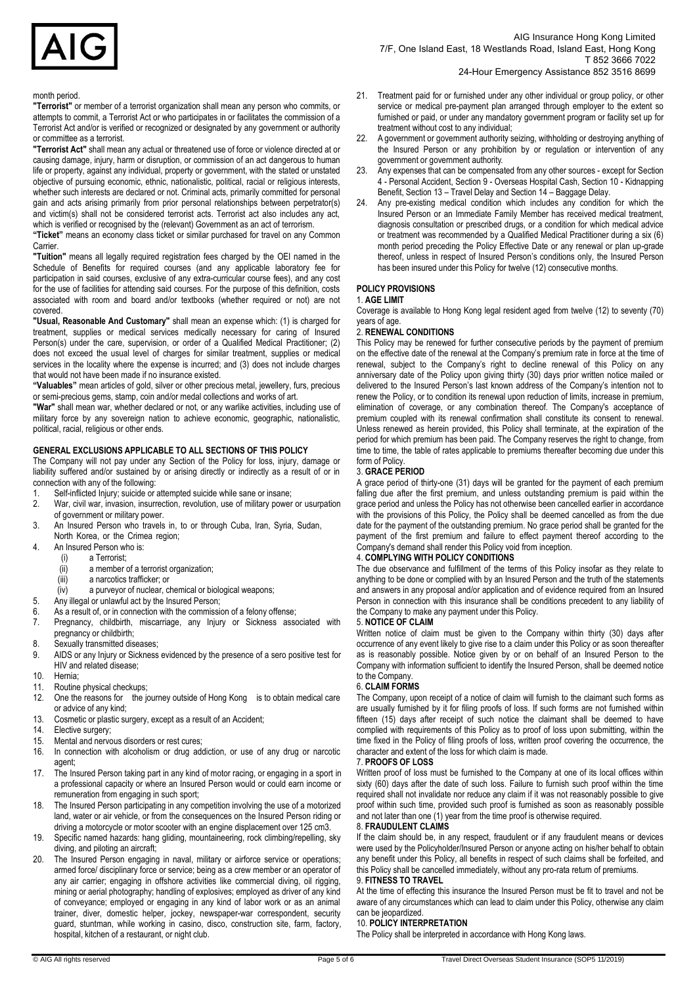

24-Hour Emergency Assistance 852 3516 8699

#### month period.

**"Terrorist"** or member of a terrorist organization shall mean any person who commits, or attempts to commit, a Terrorist Act or who participates in or facilitates the commission of a Terrorist Act and/or is verified or recognized or designated by any government or authority or committee as a terrorist.

**"Terrorist Act"** shall mean any actual or threatened use of force or violence directed at or causing damage, injury, harm or disruption, or commission of an act dangerous to human life or property, against any individual, property or government, with the stated or unstated objective of pursuing economic, ethnic, nationalistic, political, racial or religious interests, whether such interests are declared or not. Criminal acts, primarily committed for personal gain and acts arising primarily from prior personal relationships between perpetrator(s) and victim(s) shall not be considered terrorist acts. Terrorist act also includes any act, which is verified or recognised by the (relevant) Government as an act of terrorism.

**"Ticket"** means an economy class ticket or similar purchased for travel on any Common Carrier.

**"Tuition"** means all legally required registration fees charged by the OEI named in the Schedule of Benefits for required courses (and any applicable laboratory fee for participation in said courses, exclusive of any extra-curricular course fees), and any cost for the use of facilities for attending said courses. For the purpose of this definition, costs associated with room and board and/or textbooks (whether required or not) are not covered.

**"Usual, Reasonable And Customary"** shall mean an expense which: (1) is charged for treatment, supplies or medical services medically necessary for caring of Insured Person(s) under the care, supervision, or order of a Qualified Medical Practitioner; (2) does not exceed the usual level of charges for similar treatment, supplies or medical services in the locality where the expense is incurred; and (3) does not include charges that would not have been made if no insurance existed.

**"Valuables"** mean articles of gold, silver or other precious metal, jewellery, furs, precious or semi-precious gems, stamp, coin and/or medal collections and works of art.

**"War"** shall mean war, whether declared or not, or any warlike activities, including use of military force by any sovereign nation to achieve economic, geographic, nationalistic, political, racial, religious or other ends.

#### **GENERAL EXCLUSIONS APPLICABLE TO ALL SECTIONS OF THIS POLICY**

The Company will not pay under any Section of the Policy for loss, injury, damage or liability suffered and/or sustained by or arising directly or indirectly as a result of or in connection with any of the following:

- 1. Self-inflicted Injury; suicide or attempted suicide while sane or insane;<br>2. War, civil war, invasion, insurrection, revolution, use of military power
- War, civil war, invasion, insurrection, revolution, use of military power or usurpation of government or military power.
- 3. An Insured Person who travels in, to or through Cuba, Iran, Syria, Sudan, North Korea, or the Crimea region;
- 4. An Insured Person who is:<br>(i) a Terrorist;
	- (i) a Terrorist;<br>(ii) a member of
	- a member of a terrorist organization;
	- (iii) a narcotics trafficker; or
	- (iv) a purveyor of nuclear, chemical or biological weapons;
- 5. Any illegal or unlawful act by the Insured Person;<br>6. As a result of or in connection with the commissi
- As a result of, or in connection with the commission of a felony offense;
- 7. Pregnancy, childbirth, miscarriage, any Injury or Sickness associated with pregnancy or childbirth;
- 8. Sexually transmitted diseases;
- 9. AIDS or any Injury or Sickness evidenced by the presence of a sero positive test for HIV and related disease;
- 10. Hernia;<br>11. Routine
- Routine physical checkups;
- 12. One the reasons for the journey outside of Hong Kong is to obtain medical care or advice of any kind;
- 13. Cosmetic or plastic surgery, except as a result of an Accident;<br>14. Elective surgery:
- Elective surgery;
- 15. Mental and nervous disorders or rest cures;
- 16. In connection with alcoholism or drug addiction, or use of any drug or narcotic agent;
- 17. The Insured Person taking part in any kind of motor racing, or engaging in a sport in a professional capacity or where an Insured Person would or could earn income or remuneration from engaging in such sport;
- 18. The Insured Person participating in any competition involving the use of a motorized land, water or air vehicle, or from the consequences on the Insured Person riding or driving a motorcycle or motor scooter with an engine displacement over 125 cm3.
- 19. Specific named hazards: hang gliding, mountaineering, rock climbing/repelling, sky diving, and piloting an aircraft;
- 20. The Insured Person engaging in naval, military or airforce service or operations; armed force/ disciplinary force or service; being as a crew member or an operator of any air carrier; engaging in offshore activities like commercial diving, oil rigging, mining or aerial photography; handling of explosives; employed as driver of any kind of conveyance; employed or engaging in any kind of labor work or as an animal trainer, diver, domestic helper, jockey, newspaper-war correspondent, security guard, stuntman, while working in casino, disco, construction site, farm, factory, hospital, kitchen of a restaurant, or night club.
- 21. Treatment paid for or furnished under any other individual or group policy, or other service or medical pre-payment plan arranged through employer to the extent so furnished or paid, or under any mandatory government program or facility set up for treatment without cost to any individual;
- 22. A government or government authority seizing, withholding or destroying anything of the Insured Person or any prohibition by or regulation or intervention of any government or government authority.
- Any expenses that can be compensated from any other sources except for Section 4 - Personal Accident, Section 9 - Overseas Hospital Cash, Section 10 - Kidnapping Benefit, Section 13 – Travel Delay and Section 14 – Baggage Delay.
- Any pre-existing medical condition which includes any condition for which the Insured Person or an Immediate Family Member has received medical treatment, diagnosis consultation or prescribed drugs, or a condition for which medical advice or treatment was recommended by a Qualified Medical Practitioner during a six (6) month period preceding the Policy Effective Date or any renewal or plan up-grade thereof, unless in respect of Insured Person's conditions only, the Insured Person has been insured under this Policy for twelve (12) consecutive months.

## **POLICY PROVISIONS**

#### 1. **AGE LIMIT**

Coverage is available to Hong Kong legal resident aged from twelve (12) to seventy (70) years of age.

#### 2. **RENEWAL CONDITIONS**

This Policy may be renewed for further consecutive periods by the payment of premium on the effective date of the renewal at the Company's premium rate in force at the time of renewal, subject to the Company's right to decline renewal of this Policy on any anniversary date of the Policy upon giving thirty (30) days prior written notice mailed or delivered to the Insured Person's last known address of the Company's intention not to renew the Policy, or to condition its renewal upon reduction of limits, increase in premium, elimination of coverage, or any combination thereof. The Company's acceptance of premium coupled with its renewal confirmation shall constitute its consent to renewal. Unless renewed as herein provided, this Policy shall terminate, at the expiration of the period for which premium has been paid. The Company reserves the right to change, from time to time, the table of rates applicable to premiums thereafter becoming due under this form of Policy.

## 3. **GRACE PERIOD**

A grace period of thirty-one (31) days will be granted for the payment of each premium falling due after the first premium, and unless outstanding premium is paid within the grace period and unless the Policy has not otherwise been cancelled earlier in accordance with the provisions of this Policy, the Policy shall be deemed cancelled as from the due date for the payment of the outstanding premium. No grace period shall be granted for the payment of the first premium and failure to effect payment thereof according to the Company's demand shall render this Policy void from inception.

## 4. **COMPLYING WITH POLICY CONDITIONS**

The due observance and fulfillment of the terms of this Policy insofar as they relate to anything to be done or complied with by an Insured Person and the truth of the statements and answers in any proposal and/or application and of evidence required from an Insured Person in connection with this insurance shall be conditions precedent to any liability of the Company to make any payment under this Policy.

## 5. **NOTICE OF CLAIM**

Written notice of claim must be given to the Company within thirty (30) days after occurrence of any event likely to give rise to a claim under this Policy or as soon thereafter as is reasonably possible. Notice given by or on behalf of an Insured Person to the Company with information sufficient to identify the Insured Person, shall be deemed notice to the Company.

## 6. **CLAIM FORMS**

The Company, upon receipt of a notice of claim will furnish to the claimant such forms as are usually furnished by it for filing proofs of loss. If such forms are not furnished within fifteen (15) days after receipt of such notice the claimant shall be deemed to have complied with requirements of this Policy as to proof of loss upon submitting, within the time fixed in the Policy of filing proofs of loss, written proof covering the occurrence, the character and extent of the loss for which claim is made.

## 7. **PROOFS OF LOSS**

Written proof of loss must be furnished to the Company at one of its local offices within sixty (60) days after the date of such loss. Failure to furnish such proof within the time required shall not invalidate nor reduce any claim if it was not reasonably possible to give proof within such time, provided such proof is furnished as soon as reasonably possible and not later than one (1) year from the time proof is otherwise required.

## 8. **FRAUDULENT CLAIMS**

If the claim should be, in any respect, fraudulent or if any fraudulent means or devices were used by the Policyholder/Insured Person or anyone acting on his/her behalf to obtain any benefit under this Policy, all benefits in respect of such claims shall be forfeited, and this Policy shall be cancelled immediately, without any pro-rata return of premiums.

## 9. **FITNESS TO TRAVEL**

At the time of effecting this insurance the Insured Person must be fit to travel and not be aware of any circumstances which can lead to claim under this Policy, otherwise any claim can be jeopardized.

#### 10. **POLICY INTERPRETATION**

The Policy shall be interpreted in accordance with Hong Kong laws.